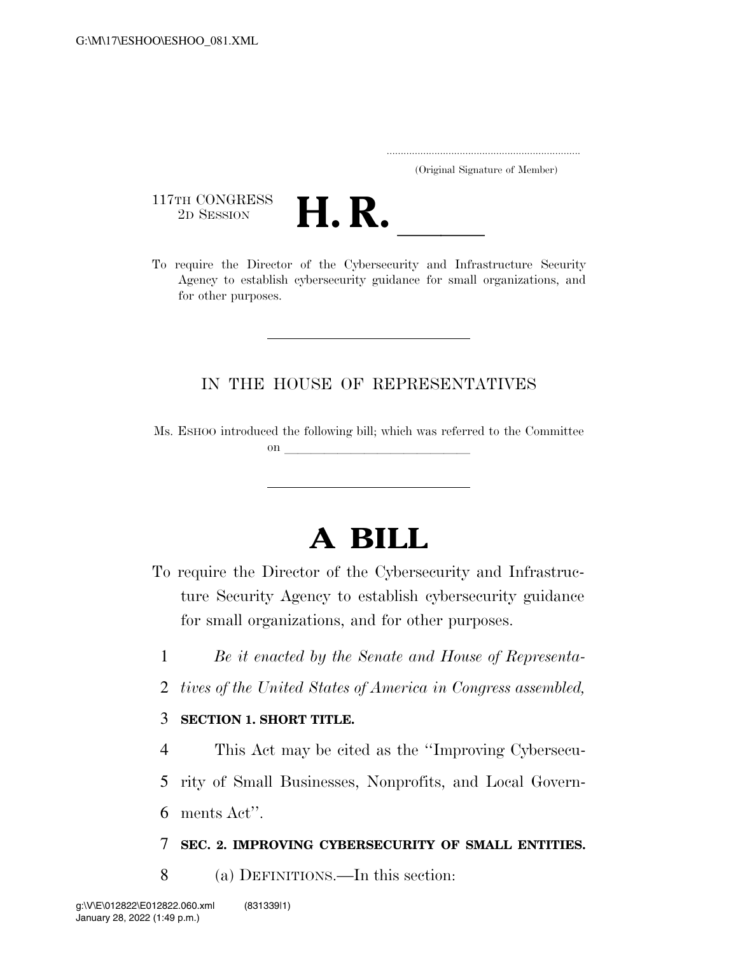..................................................................... (Original Signature of Member)

117TH CONGRESS<br>2D SESSION



117TH CONGRESS<br>
2D SESSION<br>
To require the Director of the Cybersecurity and Infrastructure Security Agency to establish cybersecurity guidance for small organizations, and for other purposes.

## IN THE HOUSE OF REPRESENTATIVES

Ms. ESHOO introduced the following bill; which was referred to the Committee on  $\overline{\qquad \qquad }$ 

## **A BILL**

- To require the Director of the Cybersecurity and Infrastructure Security Agency to establish cybersecurity guidance for small organizations, and for other purposes.
	- 1 *Be it enacted by the Senate and House of Representa-*
	- 2 *tives of the United States of America in Congress assembled,*

## 3 **SECTION 1. SHORT TITLE.**

4 This Act may be cited as the ''Improving Cybersecu-

5 rity of Small Businesses, Nonprofits, and Local Govern-

6 ments Act''.

## 7 **SEC. 2. IMPROVING CYBERSECURITY OF SMALL ENTITIES.**

8 (a) DEFINITIONS.—In this section: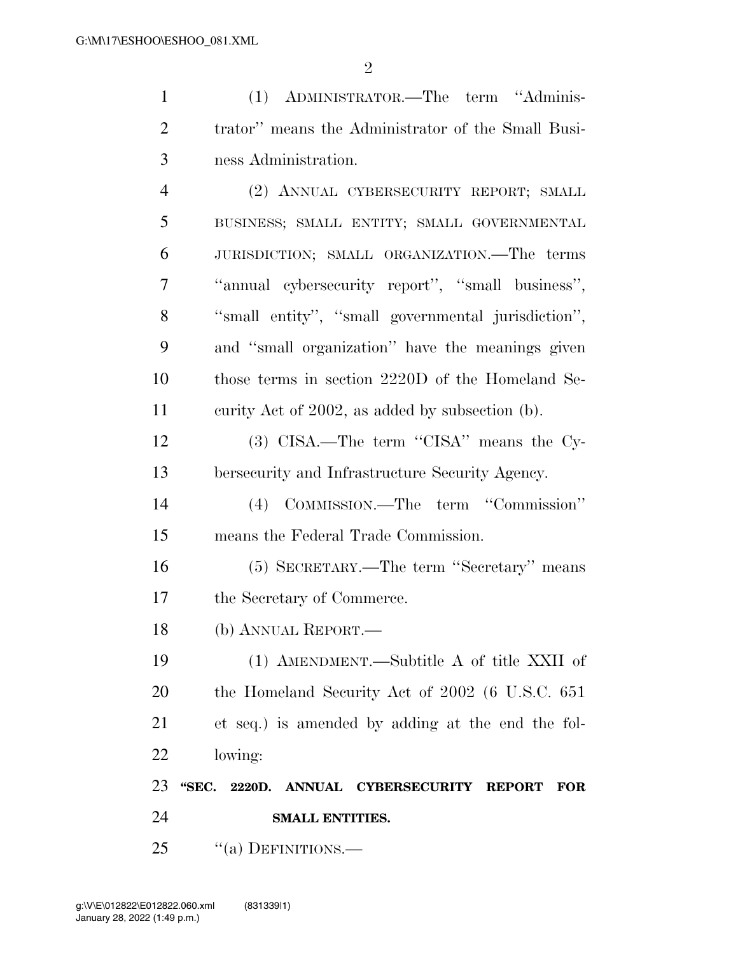| $\mathbf{1}$   | (1) ADMINISTRATOR.—The term "Adminis-                               |
|----------------|---------------------------------------------------------------------|
| $\overline{2}$ | trator" means the Administrator of the Small Busi-                  |
| 3              | ness Administration.                                                |
| $\overline{4}$ | (2) ANNUAL CYBERSECURITY REPORT; SMALL                              |
| 5              | BUSINESS; SMALL ENTITY; SMALL GOVERNMENTAL                          |
| 6              | JURISDICTION; SMALL ORGANIZATION.—The terms                         |
| 7              | "annual cybersecurity report", "small business",                    |
| 8              | "small entity", "small governmental jurisdiction",                  |
| 9              | and "small organization" have the meanings given                    |
| 10             | those terms in section 2220D of the Homeland Se-                    |
| 11             | curity Act of 2002, as added by subsection (b).                     |
| 12             | (3) CISA.—The term "CISA" means the Cy-                             |
| 13             | bersecurity and Infrastructure Security Agency.                     |
| 14             | (4) COMMISSION.—The term "Commission"                               |
| 15             | means the Federal Trade Commission.                                 |
| 16             | (5) SECRETARY.—The term "Secretary" means                           |
| 17             | the Secretary of Commerce.                                          |
| 18             | (b) ANNUAL REPORT.                                                  |
| 19             | (1) AMENDMENT.—Subtitle A of title XXII of                          |
| 20             | the Homeland Security Act of 2002 (6 U.S.C. 651)                    |
| 21             | et seq.) is amended by adding at the end the fol-                   |
| 22             | lowing:                                                             |
| 23             | "SEC.<br>2220D. ANNUAL CYBERSECURITY<br><b>REPORT</b><br><b>FOR</b> |
| 24             | <b>SMALL ENTITIES.</b>                                              |

25 "(a) DEFINITIONS.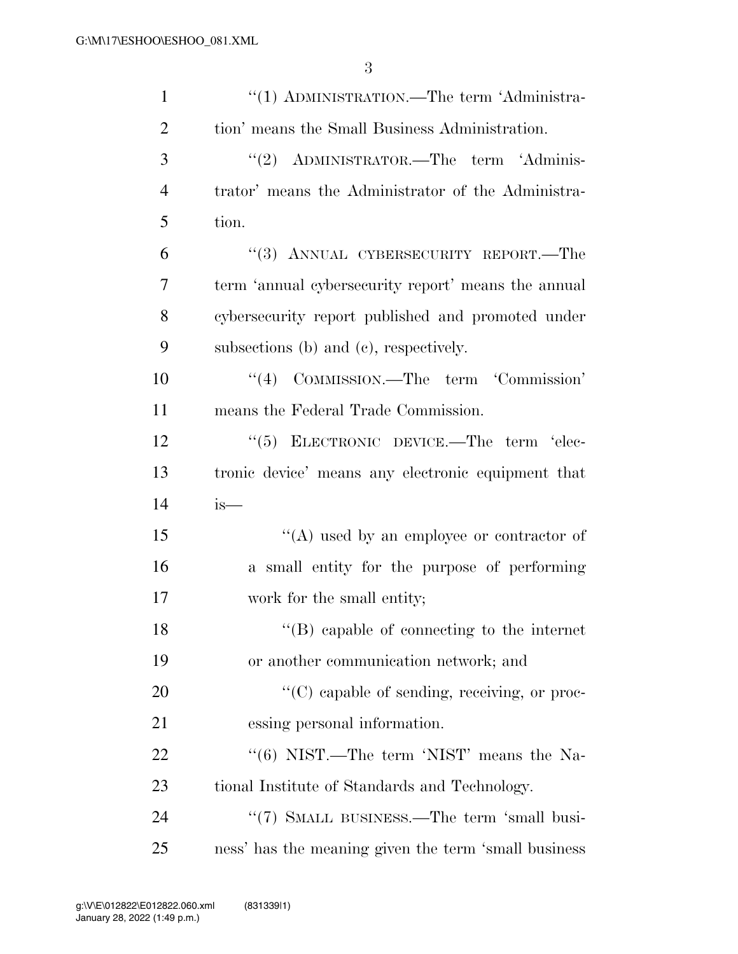| $\mathbf{1}$   | "(1) ADMINISTRATION.—The term 'Administra-           |
|----------------|------------------------------------------------------|
| $\overline{2}$ | tion' means the Small Business Administration.       |
| 3              | "(2) ADMINISTRATOR.—The term 'Adminis-               |
| 4              | trator' means the Administrator of the Administra-   |
| 5              | tion.                                                |
| 6              | "(3) ANNUAL CYBERSECURITY REPORT.—The                |
| 7              | term 'annual cybersecurity report' means the annual  |
| 8              | cybersecurity report published and promoted under    |
| 9              | subsections (b) and (c), respectively.               |
| 10             | COMMISSION.—The term 'Commission'<br>(4)             |
| 11             | means the Federal Trade Commission.                  |
| 12             | "(5) ELECTRONIC DEVICE.—The term 'elec-              |
| 13             | tronic device' means any electronic equipment that   |
| 14             | $is-$                                                |
| 15             | "(A) used by an employee or contractor of            |
| 16             | a small entity for the purpose of performing         |
| 17             | work for the small entity;                           |
| 18             | $\lq\lq (B)$ capable of connecting to the internet   |
| 19             | or another communication network; and                |
| 20             | $\lq\lq$ capable of sending, receiving, or proc-     |
| 21             | essing personal information.                         |
| 22             | "(6) NIST.—The term 'NIST' means the Na-             |
| 23             | tional Institute of Standards and Technology.        |
| 24             | "(7) SMALL BUSINESS.—The term 'small busi-           |
| 25             | ness' has the meaning given the term 'small business |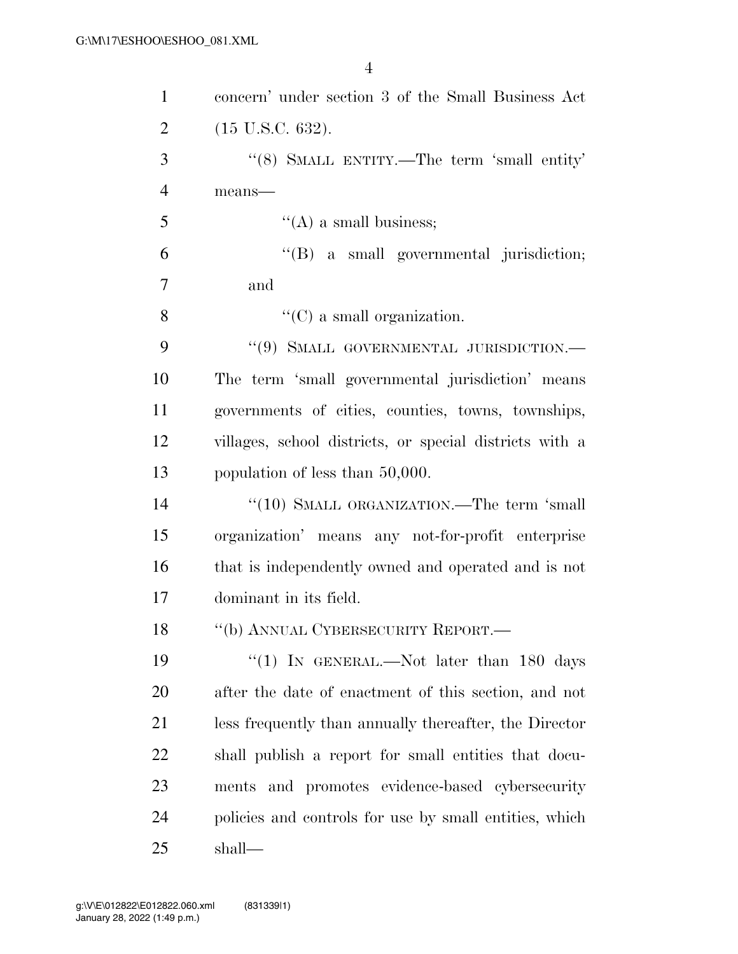| $\mathbf{1}$   | concern' under section 3 of the Small Business Act      |
|----------------|---------------------------------------------------------|
| $\overline{2}$ | $(15 \text{ U.S.C. } 632).$                             |
| 3              | "(8) SMALL ENTITY.—The term 'small entity'              |
| $\overline{4}$ | means-                                                  |
| 5              | $\lq\lq(A)$ a small business;                           |
| 6              | "(B) a small governmental jurisdiction;                 |
| $\overline{7}$ | and                                                     |
| 8              | $\lq\lq$ (C) a small organization.                      |
| 9              | $``(9)$ SMALL GOVERNMENTAL JURISDICTION.—               |
| 10             | The term 'small governmental jurisdiction' means        |
| 11             | governments of cities, counties, towns, townships,      |
| 12             | villages, school districts, or special districts with a |
| 13             | population of less than 50,000.                         |
| 14             | "(10) SMALL ORGANIZATION.—The term 'small               |
| 15             | organization' means any not-for-profit enterprise       |
| 16             | that is independently owned and operated and is not     |
| 17             | dominant in its field.                                  |
| 18             | "(b) ANNUAL CYBERSECURITY REPORT.                       |
| 19             | "(1) IN GENERAL.—Not later than $180$ days              |
| <b>20</b>      | after the date of enactment of this section, and not    |
| 21             | less frequently than annually thereafter, the Director  |
| 22             | shall publish a report for small entities that docu-    |
| 23             | ments and promotes evidence-based cybersecurity         |
| 24             | policies and controls for use by small entities, which  |
| 25             | shall—                                                  |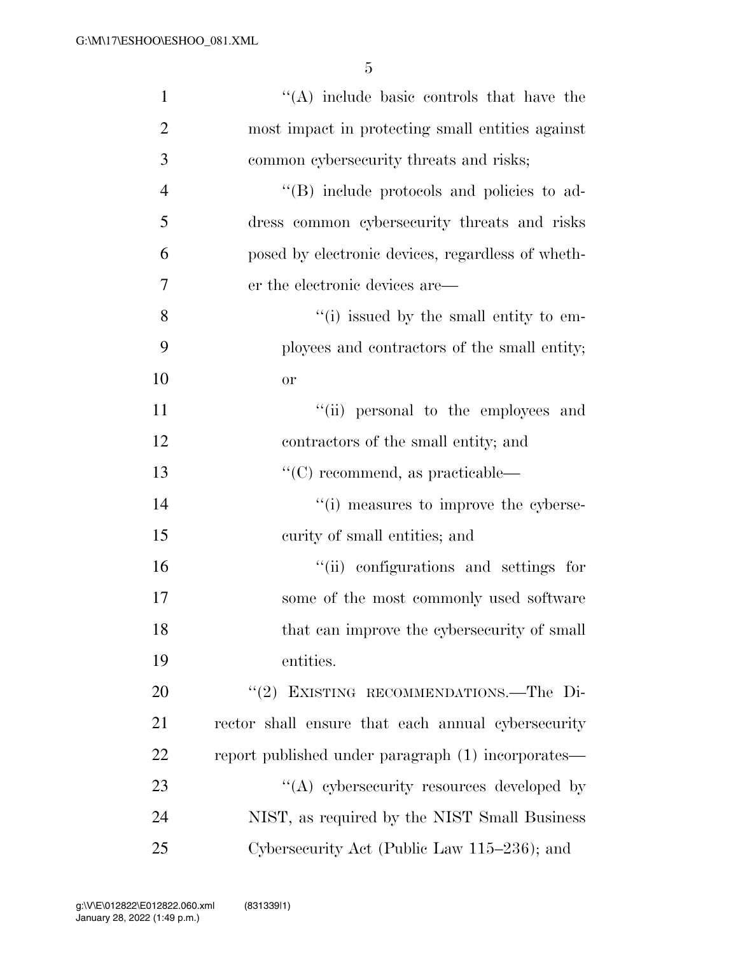| $\mathbf{1}$   | "(A) include basic controls that have the          |
|----------------|----------------------------------------------------|
| $\overline{2}$ | most impact in protecting small entities against   |
| 3              | common cybersecurity threats and risks;            |
| $\overline{4}$ | "(B) include protocols and policies to ad-         |
| 5              | dress common cybersecurity threats and risks       |
| 6              | posed by electronic devices, regardless of wheth-  |
| 7              | er the electronic devices are—                     |
| 8              | "(i) issued by the small entity to em-             |
| 9              | ployees and contractors of the small entity;       |
| 10             | <b>or</b>                                          |
| 11             | "(ii) personal to the employees and                |
| 12             | contractors of the small entity; and               |
| 13             | $\lq\lq$ (C) recommend, as practicable—            |
| 14             | "(i) measures to improve the cyberse-              |
| 15             | curity of small entities; and                      |
| 16             | "(ii) configurations and settings for              |
| 17             | some of the most commonly used software            |
| 18             | that can improve the cybersecurity of small        |
| 19             | entities.                                          |
| 20             | "(2) EXISTING RECOMMENDATIONS.—The Di-             |
| 21             | rector shall ensure that each annual cybersecurity |
| 22             | report published under paragraph (1) incorporates— |
| 23             | $\lq\lq$ cybersecurity resources developed by      |
| 24             | NIST, as required by the NIST Small Business       |
| 25             | Cybersecurity Act (Public Law 115–236); and        |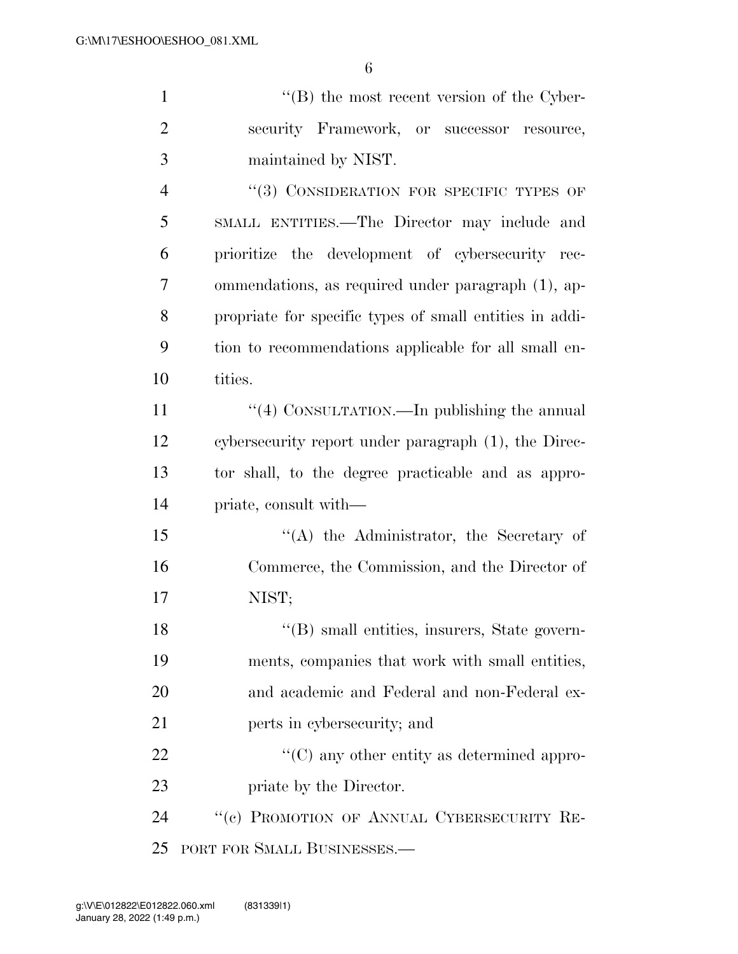| $\mathbf{1}$   | $\lq\lq (B)$ the most recent version of the Cyber-      |
|----------------|---------------------------------------------------------|
| $\overline{2}$ | security Framework, or successor<br>resource,           |
| 3              | maintained by NIST.                                     |
| $\overline{4}$ | "(3) CONSIDERATION FOR SPECIFIC TYPES OF                |
| 5              | SMALL ENTITIES.—The Director may include and            |
| 6              | prioritize the development of cybersecurity rec-        |
| 7              | ommendations, as required under paragraph (1), ap-      |
| 8              | propriate for specific types of small entities in addi- |
| 9              | tion to recommendations applicable for all small en-    |
| 10             | tities.                                                 |
| 11             | "(4) CONSULTATION.—In publishing the annual             |
| 12             | cybersecurity report under paragraph (1), the Direc-    |
| 13             | tor shall, to the degree practicable and as appro-      |
| 14             | priate, consult with—                                   |
| 15             | "(A) the Administrator, the Secretary of                |
| 16             | Commerce, the Commission, and the Director of           |
| 17             | NIST;                                                   |
| 18             | "(B) small entities, insurers, State govern-            |
| 19             | ments, companies that work with small entities,         |
| 20             | and academic and Federal and non-Federal ex-            |
| 21             | perts in cybersecurity; and                             |
| 22             | $\lq\lq$ (C) any other entity as determined appro-      |
| 23             | priate by the Director.                                 |
| 24             | "(c) PROMOTION OF ANNUAL CYBERSECURITY RE-              |

PORT FOR SMALL BUSINESSES.—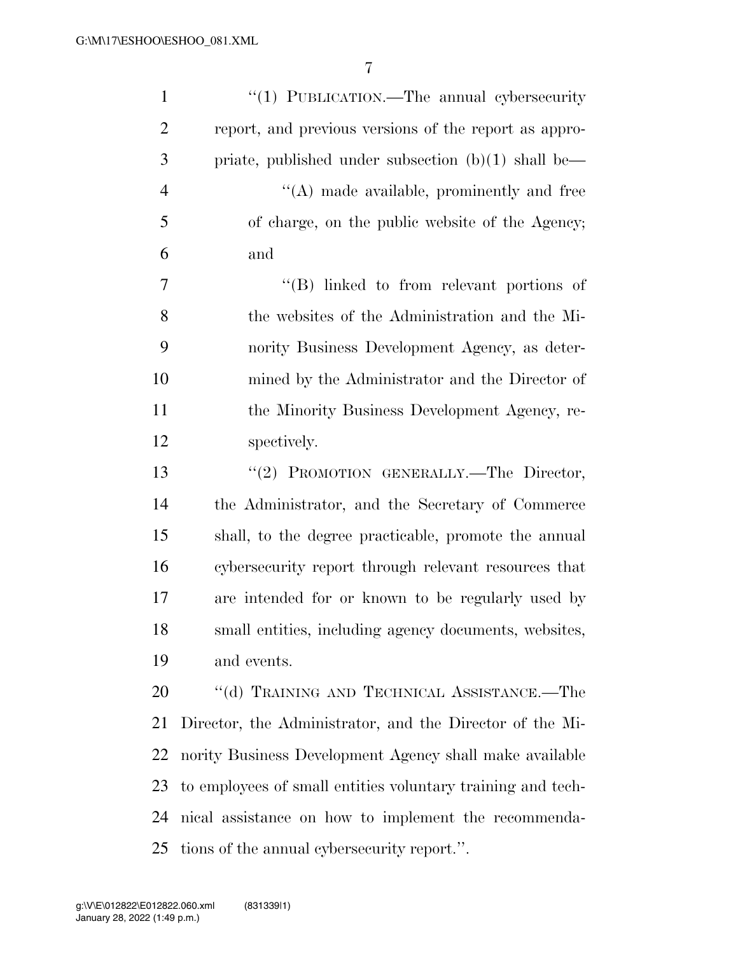| $\mathbf{1}$   | "(1) PUBLICATION.—The annual cybersecurity                  |
|----------------|-------------------------------------------------------------|
| $\overline{2}$ | report, and previous versions of the report as appro-       |
| 3              | priate, published under subsection $(b)(1)$ shall be—       |
| $\overline{4}$ | "(A) made available, prominently and free                   |
| 5              | of charge, on the public website of the Agency;             |
| 6              | and                                                         |
| 7              | $\lq\lq$ (B) linked to from relevant portions of            |
| 8              | the websites of the Administration and the Mi-              |
| 9              | nority Business Development Agency, as deter-               |
| 10             | mined by the Administrator and the Director of              |
| 11             | the Minority Business Development Agency, re-               |
| 12             | spectively.                                                 |
| 13             | "(2) PROMOTION GENERALLY.—The Director,                     |
| 14             | the Administrator, and the Secretary of Commerce            |
| 15             | shall, to the degree practicable, promote the annual        |
| 16             | cybersecurity report through relevant resources that        |
| 17             | are intended for or known to be regularly used by           |
| 18             | small entities, including agency documents, websites,       |
| 19             | and events.                                                 |
| 20             | "(d) TRAINING AND TECHNICAL ASSISTANCE.—The                 |
| 21             | Director, the Administrator, and the Director of the Mi-    |
| 22             | nority Business Development Agency shall make available     |
| 23             | to employees of small entities voluntary training and tech- |
| 24             | nical assistance on how to implement the recommenda-        |
| 25             | tions of the annual cybersecurity report.".                 |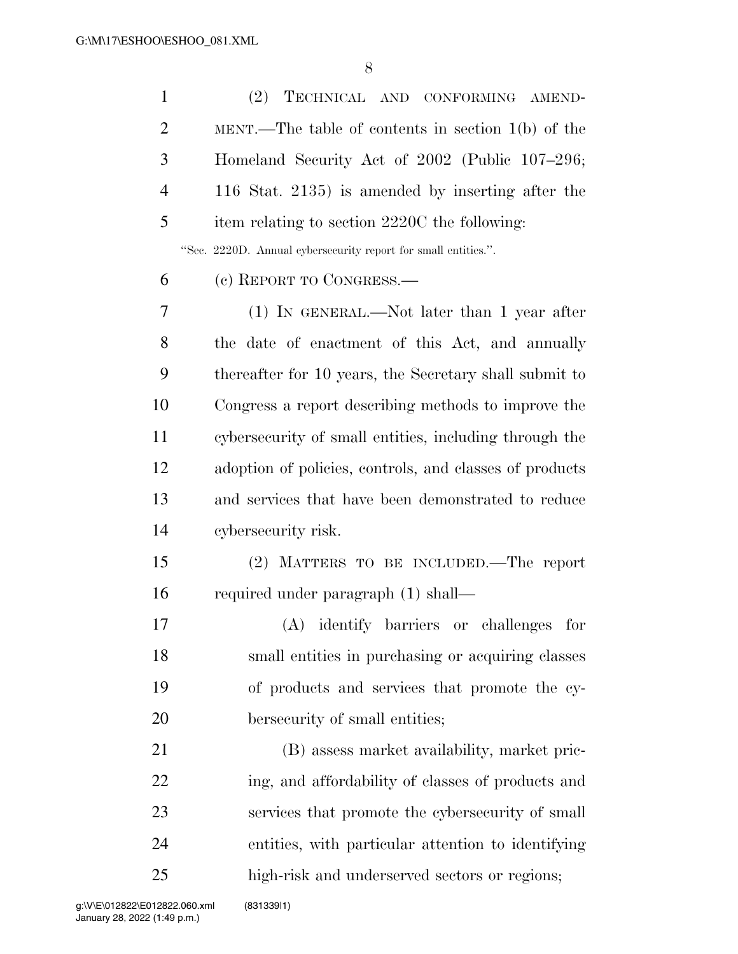| $\mathbf{1}$   | (2)<br>TECHNICAL AND CONFORMING AMEND-                         |
|----------------|----------------------------------------------------------------|
| $\overline{2}$ | MENT.—The table of contents in section $1(b)$ of the           |
| 3              | Homeland Security Act of 2002 (Public 107–296;                 |
| $\overline{4}$ | 116 Stat. 2135) is amended by inserting after the              |
| 5              | item relating to section 2220C the following:                  |
|                | "Sec. 2220D. Annual cybersecurity report for small entities.". |
| 6              | (c) REPORT TO CONGRESS.—                                       |
| 7              | $(1)$ IN GENERAL.—Not later than 1 year after                  |
| 8              | the date of enactment of this Act, and annually                |
| 9              | thereafter for 10 years, the Secretary shall submit to         |
| 10             | Congress a report describing methods to improve the            |
| 11             | cybersecurity of small entities, including through the         |
| 12             | adoption of policies, controls, and classes of products        |
| 13             | and services that have been demonstrated to reduce             |
| 14             | cybersecurity risk.                                            |
| 15             | (2) MATTERS TO BE INCLUDED.—The report                         |
| 16             | required under paragraph (1) shall—                            |
| 17             | (A) identify barriers or challenges for                        |
| 18             | small entities in purchasing or acquiring classes              |
| 19             | of products and services that promote the cy-                  |
| 20             | bersecurity of small entities;                                 |
| 21             | (B) assess market availability, market pric-                   |
| 22             | ing, and affordability of classes of products and              |
| 23             | services that promote the cybersecurity of small               |
| 24             | entities, with particular attention to identifying             |
| 25             | high-risk and underserved sectors or regions;                  |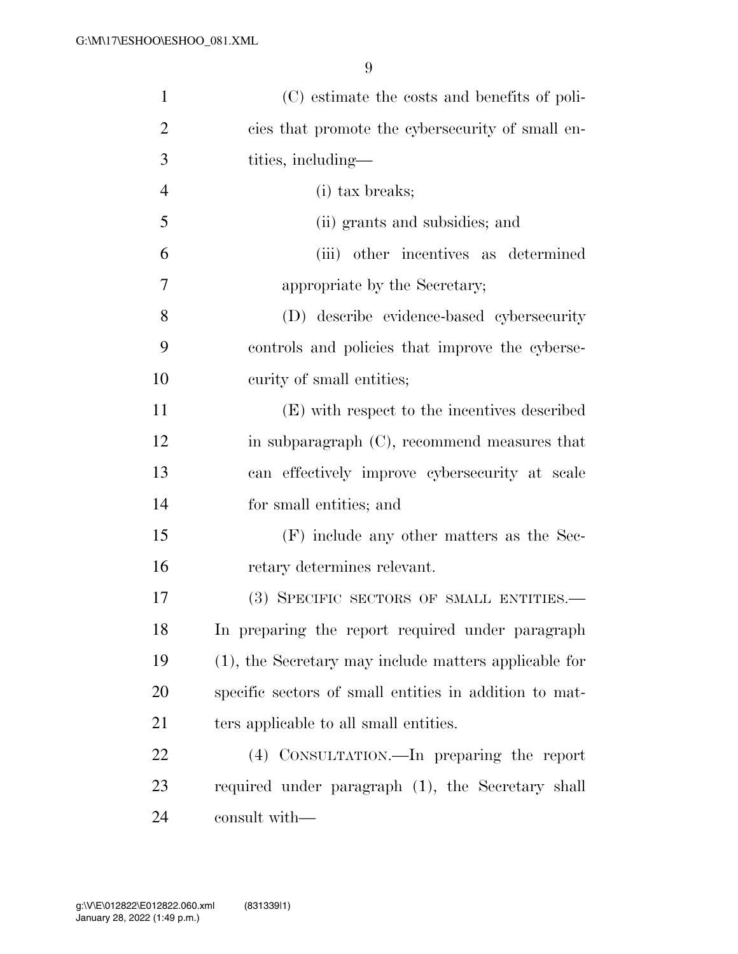| $\mathbf{1}$   | (C) estimate the costs and benefits of poli-           |
|----------------|--------------------------------------------------------|
| $\overline{2}$ | cies that promote the cybersecurity of small en-       |
| 3              | tities, including-                                     |
| $\overline{4}$ | (i) tax breaks;                                        |
| 5              | (ii) grants and subsidies; and                         |
| 6              | (iii) other incentives as determined                   |
| 7              | appropriate by the Secretary;                          |
| 8              | (D) describe evidence-based cybersecurity              |
| 9              | controls and policies that improve the cyberse-        |
| 10             | curity of small entities;                              |
| 11             | (E) with respect to the incentives described           |
| 12             | in subparagraph $(C)$ , recommend measures that        |
| 13             | can effectively improve cybersecurity at scale         |
| 14             | for small entities; and                                |
| 15             | $(F)$ include any other matters as the Sec-            |
| 16             | retary determines relevant.                            |
| 17             | (3) SPECIFIC SECTORS OF SMALL ENTITIES.—               |
| 18             | In preparing the report required under paragraph       |
| 19             | (1), the Secretary may include matters applicable for  |
| 20             | specific sectors of small entities in addition to mat- |
| 21             | ters applicable to all small entities.                 |
| 22             | (4) CONSULTATION.—In preparing the report              |
| 23             | required under paragraph (1), the Secretary shall      |
| 24             | consult with—                                          |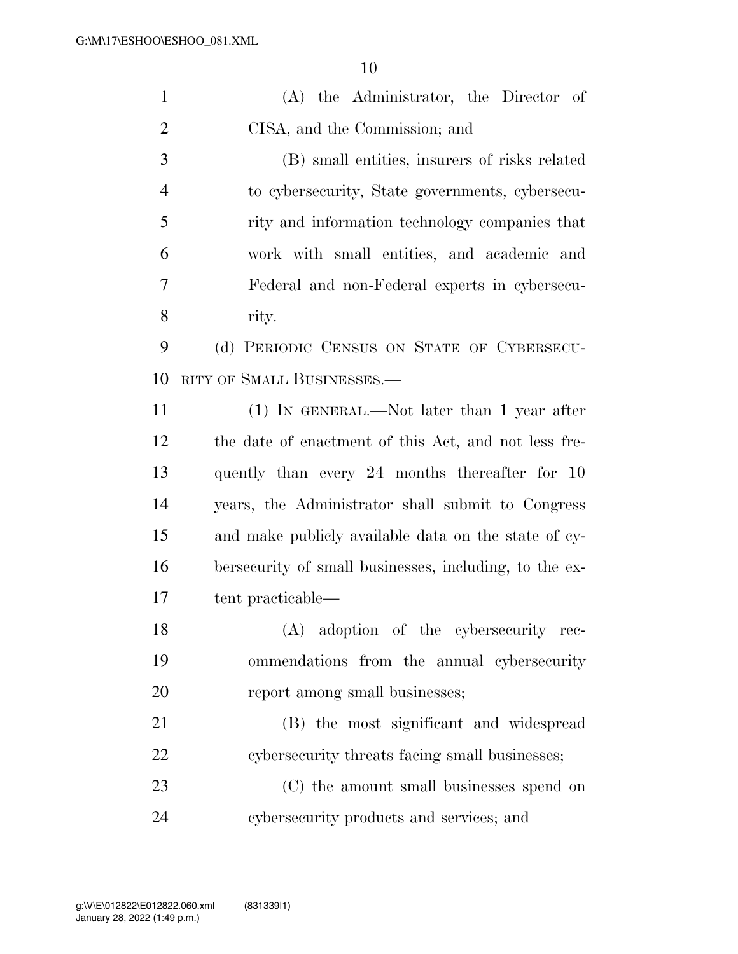| $\mathbf{1}$   | (A) the Administrator, the Director of                 |
|----------------|--------------------------------------------------------|
| $\overline{2}$ | CISA, and the Commission; and                          |
| 3              | (B) small entities, insurers of risks related          |
| $\overline{4}$ | to cybersecurity, State governments, cybersecu-        |
| 5              | rity and information technology companies that         |
| 6              | work with small entities, and academic and             |
| 7              | Federal and non-Federal experts in cybersecu-          |
| 8              | rity.                                                  |
| 9              | (d) PERIODIC CENSUS ON STATE OF CYBERSECU-             |
| 10             | RITY OF SMALL BUSINESSES.-                             |
| 11             | $(1)$ IN GENERAL.—Not later than 1 year after          |
| 12             | the date of enactment of this Act, and not less fre-   |
| 13             | quently than every 24 months thereafter for 10         |
| 14             | years, the Administrator shall submit to Congress      |
| 15             | and make publicly available data on the state of cy-   |
| 16             | bersecurity of small businesses, including, to the ex- |
| 17             | tent practicable—                                      |
| 18             | (A) adoption of the cybersecurity rec-                 |
| 19             | ommendations from the annual cybersecurity             |
| 20             | report among small businesses;                         |
| 21             | (B) the most significant and widespread                |
| 22             | cybersecurity threats facing small businesses;         |
| 23             | (C) the amount small businesses spend on               |
| 24             | cybersecurity products and services; and               |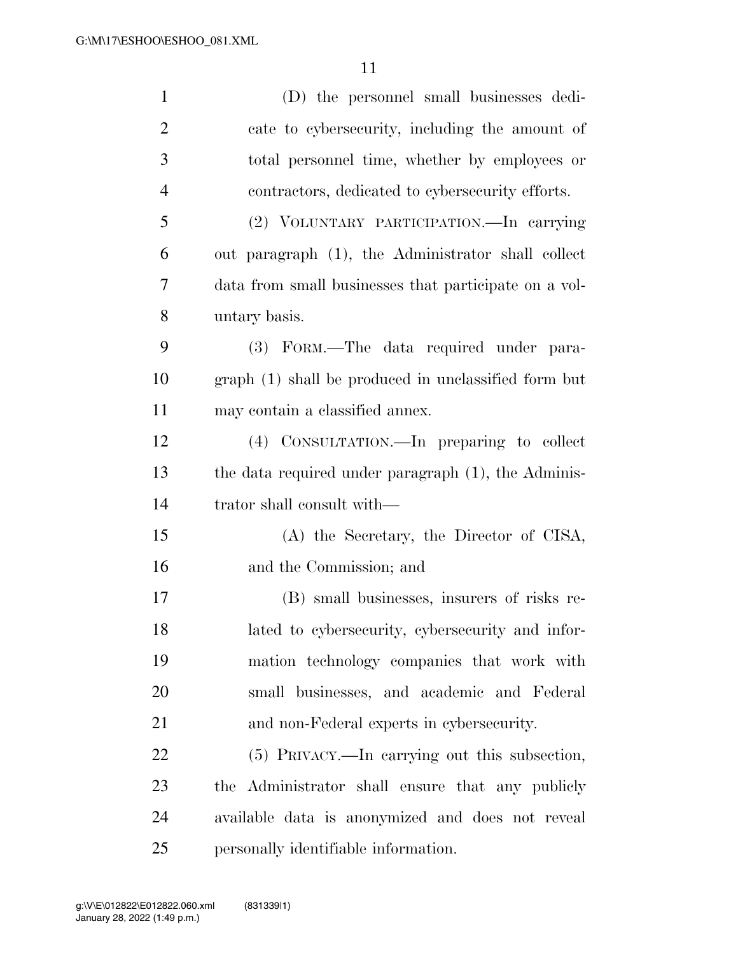| $\mathbf{1}$   | (D) the personnel small businesses dedi-              |
|----------------|-------------------------------------------------------|
| $\overline{2}$ | cate to cybersecurity, including the amount of        |
| 3              | total personnel time, whether by employees or         |
| $\overline{4}$ | contractors, dedicated to cybersecurity efforts.      |
| 5              | (2) VOLUNTARY PARTICIPATION. - In carrying            |
| 6              | out paragraph (1), the Administrator shall collect    |
| 7              | data from small businesses that participate on a vol- |
| 8              | untary basis.                                         |
| 9              | (3) FORM.—The data required under para-               |
| 10             | graph (1) shall be produced in unclassified form but  |
| 11             | may contain a classified annex.                       |
| 12             | (4) CONSULTATION.—In preparing to collect             |
| 13             | the data required under paragraph (1), the Adminis-   |
| 14             | trator shall consult with—                            |
| 15             | (A) the Secretary, the Director of CISA,              |
| 16             | and the Commission; and                               |
| 17             | (B) small businesses, insurers of risks re-           |
| 18             | lated to cybersecurity, cybersecurity and infor-      |
| 19             | mation technology companies that work with            |
| 20             | small businesses, and academic and Federal            |
| 21             | and non-Federal experts in cybersecurity.             |
| 22             | (5) PRIVACY.—In carrying out this subsection,         |
| 23             | the Administrator shall ensure that any publicly      |
| 24             | available data is anonymized and does not reveal      |
| 25             | personally identifiable information.                  |